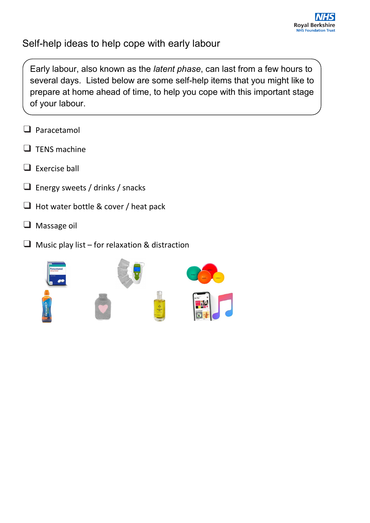

### Self-help ideas to help cope with early labour

Early labour, also known as the *latent phase*, can last from a few hours to several days. Listed below are some self-help items that you might like to prepare at home ahead of time, to help you cope with this important stage of your labour.

- ❑ Paracetamol
- ❑ TENS machine
- $\Box$  Exercise ball
- $\Box$  Energy sweets / drinks / snacks
- ❑ Hot water bottle & cover / heat pack
- ❑ Massage oil
- $\Box$  Music play list for relaxation & distraction